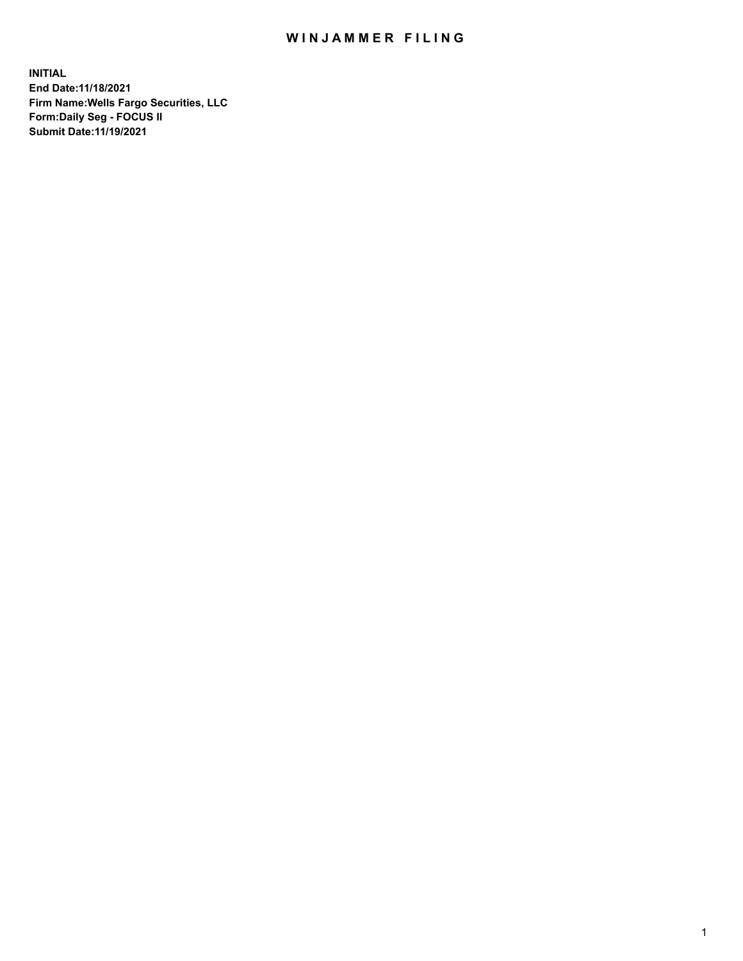## WIN JAMMER FILING

**INITIAL End Date:11/18/2021 Firm Name:Wells Fargo Securities, LLC Form:Daily Seg - FOCUS II Submit Date:11/19/2021**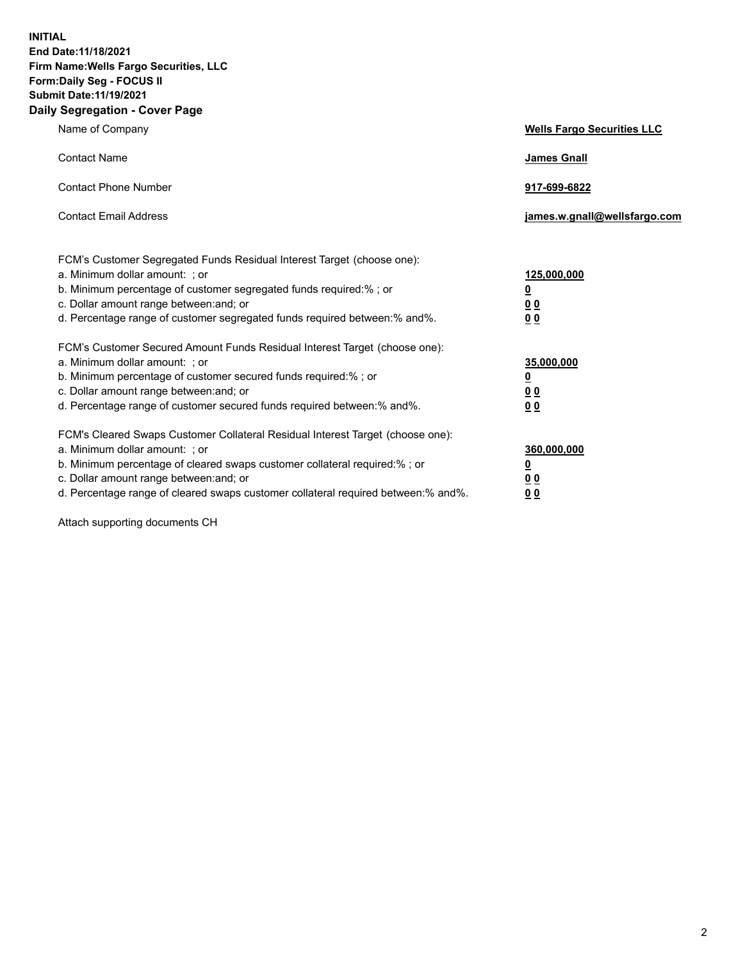**INITIAL End Date:11/18/2021 Firm Name:Wells Fargo Securities, LLC Form:Daily Seg - FOCUS II Submit Date:11/19/2021 Daily Segregation - Cover Page**

| Name of Company                                                                                                                                                                                                                                                                                                                | <b>Wells Fargo Securities LLC</b>                      |
|--------------------------------------------------------------------------------------------------------------------------------------------------------------------------------------------------------------------------------------------------------------------------------------------------------------------------------|--------------------------------------------------------|
| <b>Contact Name</b>                                                                                                                                                                                                                                                                                                            | <b>James Gnall</b>                                     |
| <b>Contact Phone Number</b>                                                                                                                                                                                                                                                                                                    | 917-699-6822                                           |
| <b>Contact Email Address</b>                                                                                                                                                                                                                                                                                                   | james.w.gnall@wellsfargo.com                           |
| FCM's Customer Segregated Funds Residual Interest Target (choose one):<br>a. Minimum dollar amount: ; or<br>b. Minimum percentage of customer segregated funds required:% ; or<br>c. Dollar amount range between: and; or<br>d. Percentage range of customer segregated funds required between: % and %.                       | 125,000,000<br><u>0</u><br><u>00</u><br>0 <sub>0</sub> |
| FCM's Customer Secured Amount Funds Residual Interest Target (choose one):<br>a. Minimum dollar amount: ; or<br>b. Minimum percentage of customer secured funds required:%; or<br>c. Dollar amount range between: and; or<br>d. Percentage range of customer secured funds required between: % and %.                          | 35,000,000<br><u>0</u><br>00<br>0 <sub>0</sub>         |
| FCM's Cleared Swaps Customer Collateral Residual Interest Target (choose one):<br>a. Minimum dollar amount: ; or<br>b. Minimum percentage of cleared swaps customer collateral required:% ; or<br>c. Dollar amount range between: and; or<br>d. Percentage range of cleared swaps customer collateral required between:% and%. | 360,000,000<br><u>0</u><br>0 Q<br>00                   |

Attach supporting documents CH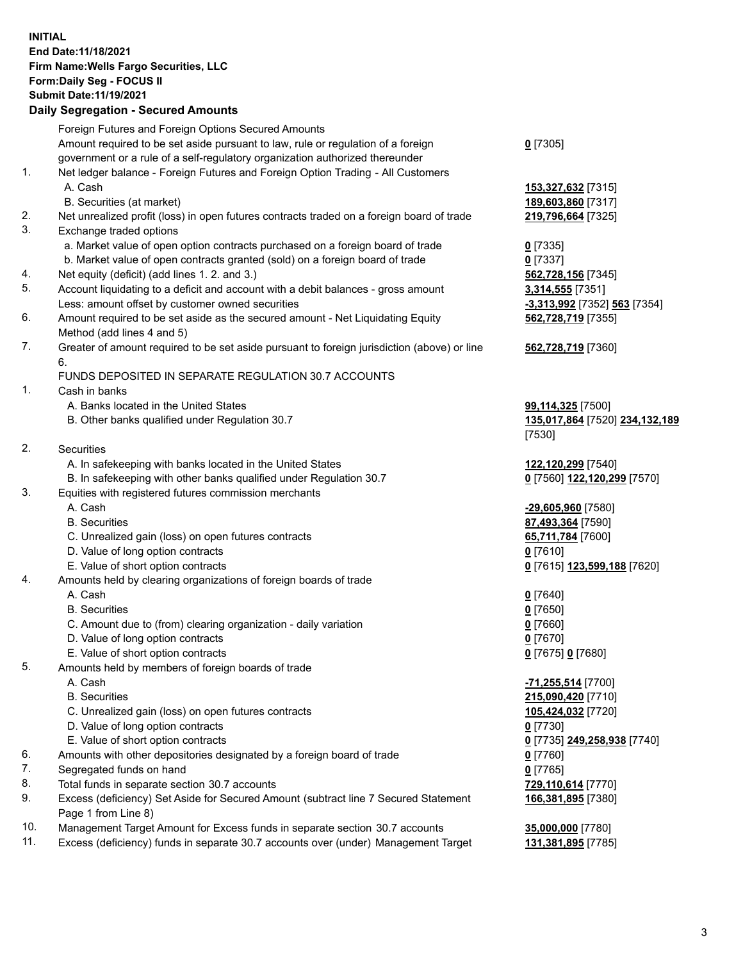**INITIAL End Date:11/18/2021 Firm Name:Wells Fargo Securities, LLC Form:Daily Seg - FOCUS II Submit Date:11/19/2021**

## **Daily Segregation - Secured Amounts**

|     | Foreign Futures and Foreign Options Secured Amounts                                         |                                |
|-----|---------------------------------------------------------------------------------------------|--------------------------------|
|     | Amount required to be set aside pursuant to law, rule or regulation of a foreign            | $0$ [7305]                     |
|     | government or a rule of a self-regulatory organization authorized thereunder                |                                |
| 1.  | Net ledger balance - Foreign Futures and Foreign Option Trading - All Customers             |                                |
|     | A. Cash                                                                                     | 153,327,632 [7315]             |
|     | B. Securities (at market)                                                                   | 189,603,860 [7317]             |
| 2.  | Net unrealized profit (loss) in open futures contracts traded on a foreign board of trade   | 219,796,664 [7325]             |
| 3.  | Exchange traded options                                                                     |                                |
|     | a. Market value of open option contracts purchased on a foreign board of trade              | $0$ [7335]                     |
|     | b. Market value of open contracts granted (sold) on a foreign board of trade                | $0$ [7337]                     |
| 4.  | Net equity (deficit) (add lines 1. 2. and 3.)                                               | 562,728,156 [7345]             |
| 5.  | Account liquidating to a deficit and account with a debit balances - gross amount           | 3,314,555 [7351]               |
|     | Less: amount offset by customer owned securities                                            | -3,313,992 [7352] 563 [7354]   |
| 6.  | Amount required to be set aside as the secured amount - Net Liquidating Equity              | 562,728,719 [7355]             |
|     | Method (add lines 4 and 5)                                                                  |                                |
| 7.  | Greater of amount required to be set aside pursuant to foreign jurisdiction (above) or line | 562,728,719 [7360]             |
|     | 6.                                                                                          |                                |
|     | FUNDS DEPOSITED IN SEPARATE REGULATION 30.7 ACCOUNTS                                        |                                |
| 1.  | Cash in banks                                                                               |                                |
|     | A. Banks located in the United States                                                       | 99,114,325 [7500]              |
|     | B. Other banks qualified under Regulation 30.7                                              | 135,017,864 [7520] 234,132,189 |
|     |                                                                                             | [7530]                         |
| 2.  | <b>Securities</b>                                                                           |                                |
|     | A. In safekeeping with banks located in the United States                                   | 122,120,299 [7540]             |
|     | B. In safekeeping with other banks qualified under Regulation 30.7                          | 0 [7560] 122,120,299 [7570]    |
| 3.  | Equities with registered futures commission merchants                                       |                                |
|     | A. Cash                                                                                     | -29,605,960 [7580]             |
|     | <b>B.</b> Securities                                                                        | 87,493,364 [7590]              |
|     | C. Unrealized gain (loss) on open futures contracts                                         | 65,711,784 [7600]              |
|     | D. Value of long option contracts                                                           | $0$ [7610]                     |
|     | E. Value of short option contracts                                                          | 0 [7615] 123,599,188 [7620]    |
| 4.  | Amounts held by clearing organizations of foreign boards of trade                           |                                |
|     | A. Cash                                                                                     | $0$ [7640]                     |
|     | <b>B.</b> Securities                                                                        | $0$ [7650]                     |
|     | C. Amount due to (from) clearing organization - daily variation                             | $0$ [7660]                     |
|     | D. Value of long option contracts                                                           | $0$ [7670]                     |
|     | E. Value of short option contracts                                                          | 0 [7675] 0 [7680]              |
| 5.  | Amounts held by members of foreign boards of trade                                          |                                |
|     | A. Cash                                                                                     | -71,255,514 [7700]             |
|     | <b>B.</b> Securities                                                                        | 215,090,420 [7710]             |
|     | C. Unrealized gain (loss) on open futures contracts                                         | 105,424,032 [7720]             |
|     | D. Value of long option contracts                                                           | $0$ [7730]                     |
|     | E. Value of short option contracts                                                          | 0 [7735] 249,258,938 [7740]    |
| 6.  | Amounts with other depositories designated by a foreign board of trade                      | $0$ [7760]                     |
| 7.  | Segregated funds on hand                                                                    | $0$ [7765]                     |
| 8.  | Total funds in separate section 30.7 accounts                                               | 729,110,614 [7770]             |
| 9.  | Excess (deficiency) Set Aside for Secured Amount (subtract line 7 Secured Statement         | 166,381,895 [7380]             |
|     | Page 1 from Line 8)                                                                         |                                |
| 10. | Management Target Amount for Excess funds in separate section 30.7 accounts                 | 35,000,000 [7780]              |

11. Excess (deficiency) funds in separate 30.7 accounts over (under) Management Target **131,381,895** [7785]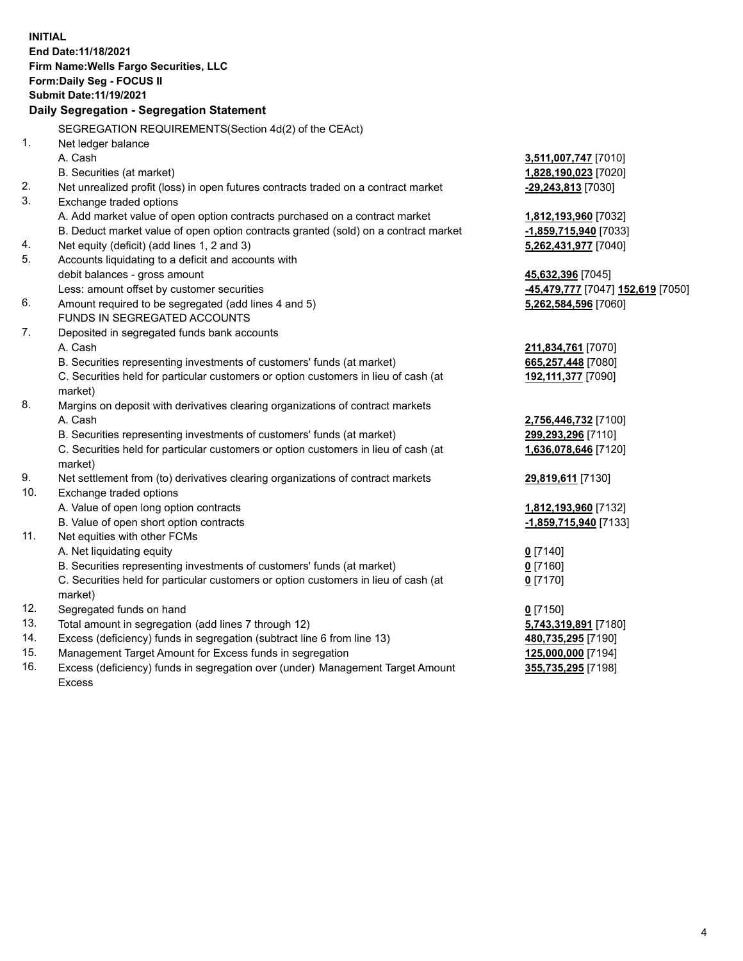**INITIAL End Date:11/18/2021 Firm Name:Wells Fargo Securities, LLC Form:Daily Seg - FOCUS II Submit Date:11/19/2021 Daily Segregation - Segregation Statement** SEGREGATION REQUIREMENTS(Section 4d(2) of the CEAct) 1. Net ledger balance A. Cash **3,511,007,747** [7010] B. Securities (at market) **1,828,190,023** [7020] 2. Net unrealized profit (loss) in open futures contracts traded on a contract market **-29,243,813** [7030] 3. Exchange traded options A. Add market value of open option contracts purchased on a contract market **1,812,193,960** [7032] B. Deduct market value of open option contracts granted (sold) on a contract market **-1,859,715,940** [7033] 4. Net equity (deficit) (add lines 1, 2 and 3) **5,262,431,977** [7040] 5. Accounts liquidating to a deficit and accounts with debit balances - gross amount **45,632,396** [7045] Less: amount offset by customer securities **-45,479,777** [7047] **152,619** [7050] 6. Amount required to be segregated (add lines 4 and 5) **5,262,584,596** [7060] FUNDS IN SEGREGATED ACCOUNTS 7. Deposited in segregated funds bank accounts A. Cash **211,834,761** [7070] B. Securities representing investments of customers' funds (at market) **665,257,448** [7080] C. Securities held for particular customers or option customers in lieu of cash (at market) **192,111,377** [7090] 8. Margins on deposit with derivatives clearing organizations of contract markets A. Cash **2,756,446,732** [7100] B. Securities representing investments of customers' funds (at market) **299,293,296** [7110] C. Securities held for particular customers or option customers in lieu of cash (at market) **1,636,078,646** [7120] 9. Net settlement from (to) derivatives clearing organizations of contract markets **29,819,611** [7130] 10. Exchange traded options A. Value of open long option contracts **1,812,193,960** [7132] B. Value of open short option contracts **-1,859,715,940** [7133] 11. Net equities with other FCMs A. Net liquidating equity **0** [7140] B. Securities representing investments of customers' funds (at market) **0** [7160] C. Securities held for particular customers or option customers in lieu of cash (at market) **0** [7170] 12. Segregated funds on hand **0** [7150] 13. Total amount in segregation (add lines 7 through 12) **5,743,319,891** [7180] 14. Excess (deficiency) funds in segregation (subtract line 6 from line 13) **480,735,295** [7190] 15. Management Target Amount for Excess funds in segregation **125,000,000** [7194] **355,735,295** [7198]

16. Excess (deficiency) funds in segregation over (under) Management Target Amount Excess